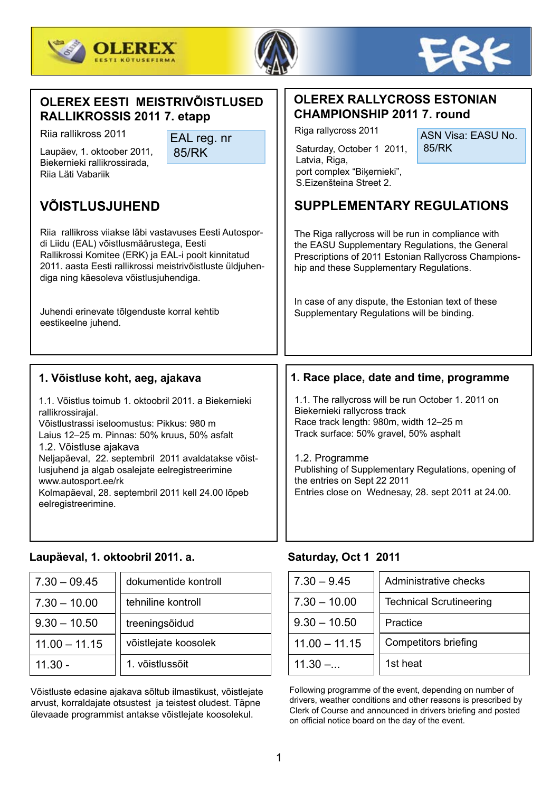





## **OLEREX EESTI MEISTRIVÕISTLUSED RALLIKROSSIS 2011 7. etapp**

Riia rallikross 2011 EAL reg. nr

85/RK

Biekernieki rallikrossirada, Riia Läti Vabariik

# **VÕISTLUSJUHEND**

Riia rallikross viiakse läbi vastavuses Eesti Autospordi Liidu (EAL) võistlusmäärustega, Eesti Rallikrossi Komitee (ERK) ja EAL-i poolt kinnitatud 2011. aasta Eesti rallikrossi meistrivõistluste üldjuhendiga ning käesoleva võistlusjuhendiga.

Juhendi erinevate tõlgenduste korral kehtib eestikeelne juhend.

## **1. Võistluse koht, aeg, ajakava**

1.1. Võistlus toimub 1. oktoobril 2011. a Biekernieki rallikrossirajal. Võistlustrassi iseloomustus: Pikkus: 980 m Laius 12–25 m. Pinnas: 50% kruus, 50% asfalt 1.2. Võistluse ajakava Neljapäeval, 22. septembril 2011 avaldatakse võistlusjuhend ja algab osalejate eelregistreerimine www.autosport.ee/rk Kolmapäeval, 28. septembril 2011 kell 24.00 lõpeb eelregistreerimine.

## **Laupäeval, 1. oktoobril 2011. a. Saturday, Oct 1 2011**

| $  7.30 - 09.45  $ | dokumentide kontroll | $7.30 - 9.45$   | Adminis  |
|--------------------|----------------------|-----------------|----------|
| $  7.30 - 10.00$   | tehniline kontroll   | $7.30 - 10.00$  | Technica |
| $9.30 - 10.50$     | treeningsõidud       | $9.30 - 10.50$  | Practice |
| $11.00 - 11.15$    | võistlejate koosolek | $11.00 - 11.15$ | Compet   |
| ∣ 11.30 -          | 1. võistlussõit      | $11.30 - $      | 1st heat |

Võistluste edasine ajakava sõltub ilmastikust, võistlejate arvust, korraldajate otsustest ja teistest oludest. Täpne ülevaade programmist antakse võistlejate koosolekul.

## **OLEREX RALLYCROSS ESTONIAN CHAMPIONSHIP 2011 7. round**

Laupäev, 1. oktoober 2011, 85/RK | | Saturday, October 1 2011, 85/RK Saturday, October 1 2011, Latvia, Riga, port complex "Bikernieki". S.Eizenšteina Street 2.

Riga rallycross 2011

ASN Visa: EASU No.

# **SUPPLEMENTARY REGULATIONS**

The Riga rallycross will be run in compliance with the EASU Supplementary Regulations, the General Prescriptions of 2011 Estonian Rallycross Championship and these Supplementary Regulations.

In case of any dispute, the Estonian text of these Supplementary Regulations will be binding.

### **1. Race place, date and time, programme**

1.1. The rallycross will be run October 1. 2011 on Biekernieki rallycross track Race track length: 980m, width 12–25 m Track surface: 50% gravel, 50% asphalt

1.2. Programme Publishing of Supplementary Regulations, opening of the entries on Sept 22 2011 Entries close on Wednesay, 28. sept 2011 at 24.00.

| dokumentide kontroll |  | $7.30 - 9.45$   | Administrative checks          |  |
|----------------------|--|-----------------|--------------------------------|--|
| tehniline kontroll   |  | $7.30 - 10.00$  | <b>Technical Scrutineering</b> |  |
| treeningsõidud       |  | $9.30 - 10.50$  | Practice                       |  |
| võistlejate koosolek |  | $11.00 - 11.15$ | <b>Competitors briefing</b>    |  |
| 1. võistlussõit      |  | $11.30 - $      | 1st heat                       |  |

Following programme of the event, depending on number of drivers, weather conditions and other reasons is prescribed by Clerk of Course and announced in drivers briefing and posted on official notice board on the day of the event.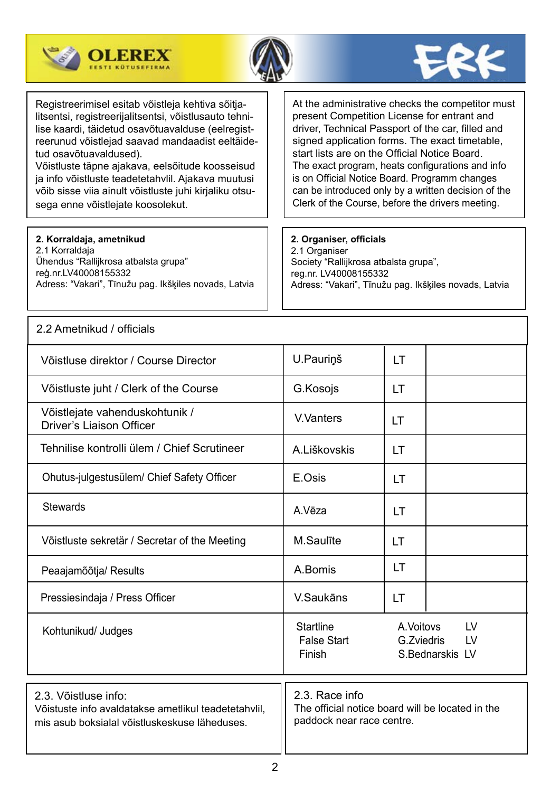





Registreerimisel esitab võistleja kehtiva sõitjalitsentsi, registreerijalitsentsi, võistlusauto tehnilise kaardi, täidetud osavõtuavalduse (eelregistreerunud võistlejad saavad mandaadist eeltäidetud osavõtuavaldused).

Võistluste täpne ajakava, eelsõitude koosseisud ja info võistluste teadetetahvlil. Ajakava muutusi võib sisse viia ainult võistluste juhi kirjaliku otsusega enne võistlejate koosolekut.

**2. Korraldaja, ametnikud** 

2.1 Korraldaja Ühendus "Rallijkrosa atbalsta grupa" reģ.nr.LV40008155332 Adress: "Vakari", Tīnužu pag. Ikšķiles novads, Latvia At the administrative checks the competitor must present Competition License for entrant and driver, Technical Passport of the car, filled and signed application forms. The exact timetable, start lists are on the Official Notice Board. The exact program, heats configurations and info is on Official Notice Board. Programm changes can be introduced only by a written decision of the Clerk of the Course, before the drivers meeting.

## **2. Organiser, officials**

2.1 Organiser Society "Rallijkrosa atbalsta grupa", reg.nr. LV40008155332 Adress: "Vakari", Tīnužu pag. Ikšķiles novads, Latvia

| 2.2 Ametnikud / officials                                                                                                     |                                                                                                 |                                                         |  |  |  |
|-------------------------------------------------------------------------------------------------------------------------------|-------------------------------------------------------------------------------------------------|---------------------------------------------------------|--|--|--|
| Võistluse direktor / Course Director                                                                                          | U.Pauriņš                                                                                       | LT                                                      |  |  |  |
| Võistluste juht / Clerk of the Course                                                                                         | G.Kosojs                                                                                        | <b>LT</b>                                               |  |  |  |
| Võistlejate vahenduskohtunik /<br><b>Driver's Liaison Officer</b>                                                             | V. Vanters                                                                                      | <b>LT</b>                                               |  |  |  |
| Tehnilise kontrolli ülem / Chief Scrutineer                                                                                   | A.Liškovskis                                                                                    | <b>LT</b>                                               |  |  |  |
| Ohutus-julgestusülem/ Chief Safety Officer                                                                                    | E.Osis                                                                                          | LT                                                      |  |  |  |
| <b>Stewards</b>                                                                                                               | A.Vēza                                                                                          | LT                                                      |  |  |  |
| Võistluste sekretär / Secretar of the Meeting                                                                                 | M.Saulīte                                                                                       | LT                                                      |  |  |  |
| Peaajamõõtja/ Results                                                                                                         | A.Bomis                                                                                         | LT                                                      |  |  |  |
| Pressiesindaja / Press Officer                                                                                                | V.Saukāns                                                                                       | LT                                                      |  |  |  |
| Kohtunikud/ Judges                                                                                                            | <b>Startline</b><br><b>False Start</b><br>Finish                                                | A. Voitovs<br>LV<br>G.Zviedris<br>LV<br>S.Bednarskis LV |  |  |  |
| 2.3. Võistluse info:<br>Võistuste info avaldatakse ametlikul teadetetahvlil,<br>mis asub boksialal võistluskeskuse läheduses. | 2.3. Race info<br>The official notice board will be located in the<br>paddock near race centre. |                                                         |  |  |  |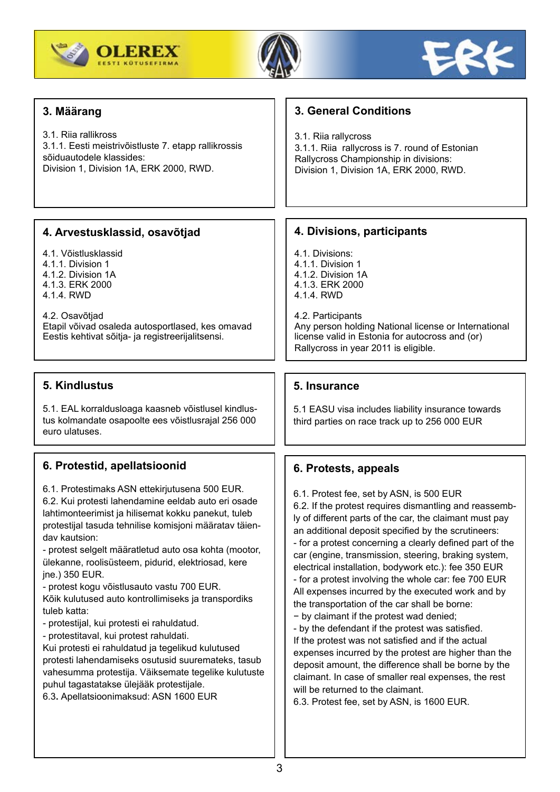





| 3. Määrang                                                                                                                                                                                                                                                                                                                                                                                                                                                                                                                                                                                                                                                                                                                                                                                                                                     | <b>3. General Conditions</b>                                                                                                                                                                                                                                                                                                                                                                                                                                                                                                                                                                                                                                                                                                                                                                                                                                                                                                                                                    |
|------------------------------------------------------------------------------------------------------------------------------------------------------------------------------------------------------------------------------------------------------------------------------------------------------------------------------------------------------------------------------------------------------------------------------------------------------------------------------------------------------------------------------------------------------------------------------------------------------------------------------------------------------------------------------------------------------------------------------------------------------------------------------------------------------------------------------------------------|---------------------------------------------------------------------------------------------------------------------------------------------------------------------------------------------------------------------------------------------------------------------------------------------------------------------------------------------------------------------------------------------------------------------------------------------------------------------------------------------------------------------------------------------------------------------------------------------------------------------------------------------------------------------------------------------------------------------------------------------------------------------------------------------------------------------------------------------------------------------------------------------------------------------------------------------------------------------------------|
| 3.1. Riia rallikross<br>3.1.1. Eesti meistrivõistluste 7. etapp rallikrossis<br>sõiduautodele klassides:<br>Division 1, Division 1A, ERK 2000, RWD.                                                                                                                                                                                                                                                                                                                                                                                                                                                                                                                                                                                                                                                                                            | 3.1. Riia rallycross<br>3.1.1. Riia rallycross is 7. round of Estonian<br>Rallycross Championship in divisions:<br>Division 1, Division 1A, ERK 2000, RWD.                                                                                                                                                                                                                                                                                                                                                                                                                                                                                                                                                                                                                                                                                                                                                                                                                      |
|                                                                                                                                                                                                                                                                                                                                                                                                                                                                                                                                                                                                                                                                                                                                                                                                                                                |                                                                                                                                                                                                                                                                                                                                                                                                                                                                                                                                                                                                                                                                                                                                                                                                                                                                                                                                                                                 |
| 4. Arvestusklassid, osavõtjad                                                                                                                                                                                                                                                                                                                                                                                                                                                                                                                                                                                                                                                                                                                                                                                                                  | 4. Divisions, participants                                                                                                                                                                                                                                                                                                                                                                                                                                                                                                                                                                                                                                                                                                                                                                                                                                                                                                                                                      |
| 4.1. Võistlusklassid<br>4.1.1. Division 1<br>4.1.2. Division 1A<br>4.1.3. ERK 2000<br>4.1.4. RWD                                                                                                                                                                                                                                                                                                                                                                                                                                                                                                                                                                                                                                                                                                                                               | 4.1. Divisions:<br>4.1.1. Division 1<br>4.1.2. Division 1A<br>4.1.3. ERK 2000<br>4.1.4. RWD                                                                                                                                                                                                                                                                                                                                                                                                                                                                                                                                                                                                                                                                                                                                                                                                                                                                                     |
| 4.2. Osavõtjad<br>Etapil võivad osaleda autosportlased, kes omavad<br>Eestis kehtivat sõitja- ja registreerijalitsensi.                                                                                                                                                                                                                                                                                                                                                                                                                                                                                                                                                                                                                                                                                                                        | 4.2. Participants<br>Any person holding National license or International<br>license valid in Estonia for autocross and (or)<br>Rallycross in year 2011 is eligible.                                                                                                                                                                                                                                                                                                                                                                                                                                                                                                                                                                                                                                                                                                                                                                                                            |
|                                                                                                                                                                                                                                                                                                                                                                                                                                                                                                                                                                                                                                                                                                                                                                                                                                                |                                                                                                                                                                                                                                                                                                                                                                                                                                                                                                                                                                                                                                                                                                                                                                                                                                                                                                                                                                                 |
| 5. Kindlustus                                                                                                                                                                                                                                                                                                                                                                                                                                                                                                                                                                                                                                                                                                                                                                                                                                  | 5. Insurance                                                                                                                                                                                                                                                                                                                                                                                                                                                                                                                                                                                                                                                                                                                                                                                                                                                                                                                                                                    |
| 5.1. EAL korraldusloaga kaasneb võistlusel kindlus-<br>tus kolmandate osapoolte ees võistlusrajal 256 000<br>euro ulatuses.                                                                                                                                                                                                                                                                                                                                                                                                                                                                                                                                                                                                                                                                                                                    | 5.1 EASU visa includes liability insurance towards<br>third parties on race track up to 256 000 EUR                                                                                                                                                                                                                                                                                                                                                                                                                                                                                                                                                                                                                                                                                                                                                                                                                                                                             |
| 6. Protestid, apellatsioonid                                                                                                                                                                                                                                                                                                                                                                                                                                                                                                                                                                                                                                                                                                                                                                                                                   | 6. Protests, appeals                                                                                                                                                                                                                                                                                                                                                                                                                                                                                                                                                                                                                                                                                                                                                                                                                                                                                                                                                            |
| 6.1. Protestimaks ASN ettekirjutusena 500 EUR.<br>6.2. Kui protesti lahendamine eeldab auto eri osade<br>lahtimonteerimist ja hilisemat kokku panekut, tuleb<br>protestijal tasuda tehnilise komisjoni määratav täien-<br>dav kautsion:<br>- protest selgelt määratletud auto osa kohta (mootor,<br>ülekanne, roolisüsteem, pidurid, elektriosad, kere<br>jne.) 350 EUR.<br>- protest kogu võistlusauto vastu 700 EUR.<br>Kõik kulutused auto kontrollimiseks ja transpordiks<br>tuleb katta:<br>- protestijal, kui protesti ei rahuldatud.<br>- protestitaval, kui protest rahuldati.<br>Kui protesti ei rahuldatud ja tegelikud kulutused<br>protesti lahendamiseks osutusid suuremateks, tasub<br>vahesumma protestija. Väiksemate tegelike kulutuste<br>puhul tagastatakse ülejääk protestijale.<br>6.3. Apellatsioonimaksud: ASN 1600 EUR | 6.1. Protest fee, set by ASN, is 500 EUR<br>6.2. If the protest requires dismantling and reassemb-<br>ly of different parts of the car, the claimant must pay<br>an additional deposit specified by the scrutineers:<br>- for a protest concerning a clearly defined part of the<br>car (engine, transmission, steering, braking system,<br>electrical installation, bodywork etc.): fee 350 EUR<br>- for a protest involving the whole car: fee 700 EUR<br>All expenses incurred by the executed work and by<br>the transportation of the car shall be borne:<br>- by claimant if the protest wad denied;<br>- by the defendant if the protest was satisfied.<br>If the protest was not satisfied and if the actual<br>expenses incurred by the protest are higher than the<br>deposit amount, the difference shall be borne by the<br>claimant. In case of smaller real expenses, the rest<br>will be returned to the claimant.<br>6.3. Protest fee, set by ASN, is 1600 EUR. |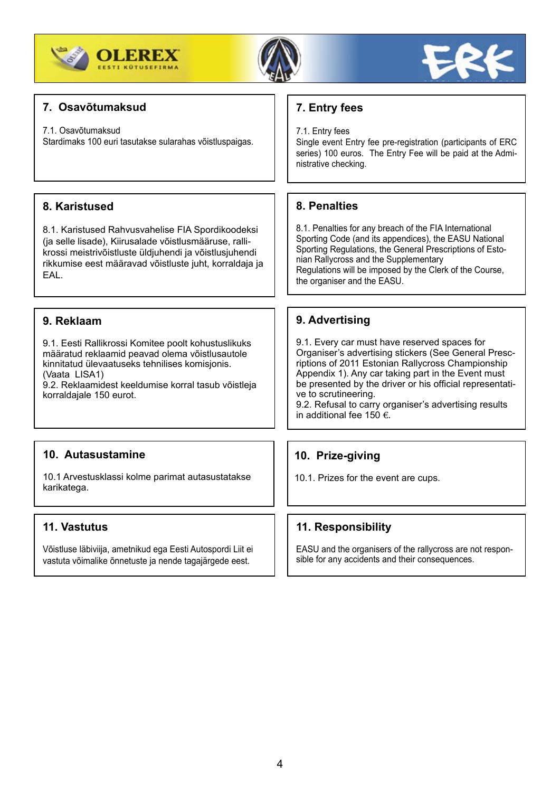





## **7. Osavõtumaksud**

#### 7.1. Osavõtumaksud

Stardimaks 100 euri tasutakse sularahas võistluspaigas.

## **8. Karistused**

8.1. Karistused Rahvusvahelise FIA Spordikoodeksi (ja selle lisade), Kiirusalade võistlusmääruse, rallikrossi meistrivõistluste üldjuhendi ja võistlusjuhendi rikkumise eest määravad võistluste juht, korraldaja ja EAL.

## **9. Reklaam**

9.1. Eesti Rallikrossi Komitee poolt kohustuslikuks määratud reklaamid peavad olema võistlusautole kinnitatud ülevaatuseks tehnilises komisjonis. (Vaata LISA1)

9.2. Reklaamidest keeldumise korral tasub võistleja korraldajale 150 eurot.

## **10. Autasustamine**

10.1 Arvestusklassi kolme parimat autasustatakse karikatega.

## **11. Vastutus**

Võistluse läbiviija, ametnikud ega Eesti Autospordi Liit ei vastuta võimalike õnnetuste ja nende tagajärgede eest.

## **7. Entry fees**

7.1. Entry fees

Single event Entry fee pre-registration (participants of ERC series) 100 euros. The Entry Fee will be paid at the Administrative checking.

## **8. Penalties**

8.1. Penalties for any breach of the FIA International Sporting Code (and its appendices), the EASU National Sporting Regulations, the General Prescriptions of Estonian Rallycross and the Supplementary Regulations will be imposed by the Clerk of the Course, the organiser and the EASU.

## **9. Advertising**

9.1. Every car must have reserved spaces for Organiser's advertising stickers (See General Prescriptions of 2011 Estonian Rallycross Championship Appendix 1). Any car taking part in the Event must be presented by the driver or his official representative to scrutineering.

9.2. Refusal to carry organiser's advertising results in additional fee 150  $\epsilon$ .

## **10. Prize-giving**

10.1. Prizes for the event are cups.

## **11. Responsibility**

EASU and the organisers of the rallycross are not responsible for any accidents and their consequences.